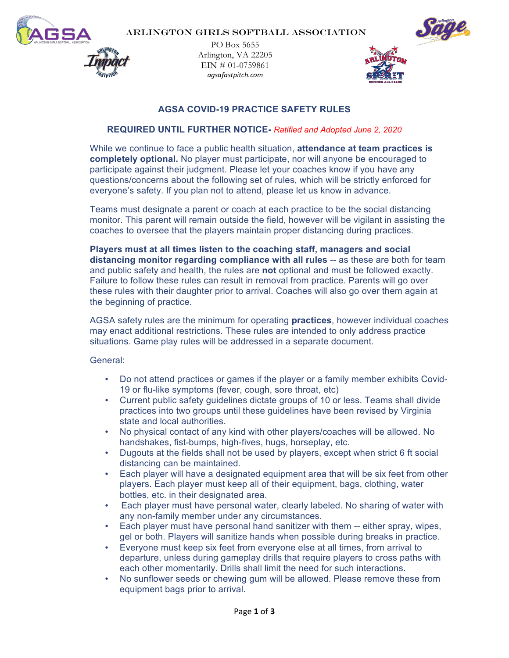

PO Box 5655 Arlington, VA 22205  $EIN \text{ # } 01 - 0759861$ *agsafastpitch.com*



# **AGSA COVID-19 PRACTICE SAFETY RULES**

# **REQUIRED UNTIL FURTHER NOTICE-** *Ratified and Adopted June 2, 2020*

While we continue to face a public health situation, **attendance at team practices is completely optional.** No player must participate, nor will anyone be encouraged to participate against their judgment. Please let your coaches know if you have any questions/concerns about the following set of rules, which will be strictly enforced for everyone's safety. If you plan not to attend, please let us know in advance.

Teams must designate a parent or coach at each practice to be the social distancing monitor. This parent will remain outside the field, however will be vigilant in assisting the coaches to oversee that the players maintain proper distancing during practices.

**Players must at all times listen to the coaching staff, managers and social distancing monitor regarding compliance with all rules** -- as these are both for team and public safety and health, the rules are **not** optional and must be followed exactly. Failure to follow these rules can result in removal from practice. Parents will go over these rules with their daughter prior to arrival. Coaches will also go over them again at the beginning of practice.

AGSA safety rules are the minimum for operating **practices**, however individual coaches may enact additional restrictions. These rules are intended to only address practice situations. Game play rules will be addressed in a separate document.

General:

- Do not attend practices or games if the player or a family member exhibits Covid-19 or flu-like symptoms (fever, cough, sore throat, etc)
- Current public safety guidelines dictate groups of 10 or less. Teams shall divide practices into two groups until these guidelines have been revised by Virginia state and local authorities.
- No physical contact of any kind with other players/coaches will be allowed. No handshakes, fist-bumps, high-fives, hugs, horseplay, etc.
- Dugouts at the fields shall not be used by players, except when strict 6 ft social distancing can be maintained.
- Each player will have a designated equipment area that will be six feet from other players. Each player must keep all of their equipment, bags, clothing, water bottles, etc. in their designated area.
- Each player must have personal water, clearly labeled. No sharing of water with any non-family member under any circumstances.
- Each player must have personal hand sanitizer with them -- either spray, wipes, gel or both. Players will sanitize hands when possible during breaks in practice.
- Everyone must keep six feet from everyone else at all times, from arrival to departure, unless during gameplay drills that require players to cross paths with each other momentarily. Drills shall limit the need for such interactions.
- No sunflower seeds or chewing gum will be allowed. Please remove these from equipment bags prior to arrival.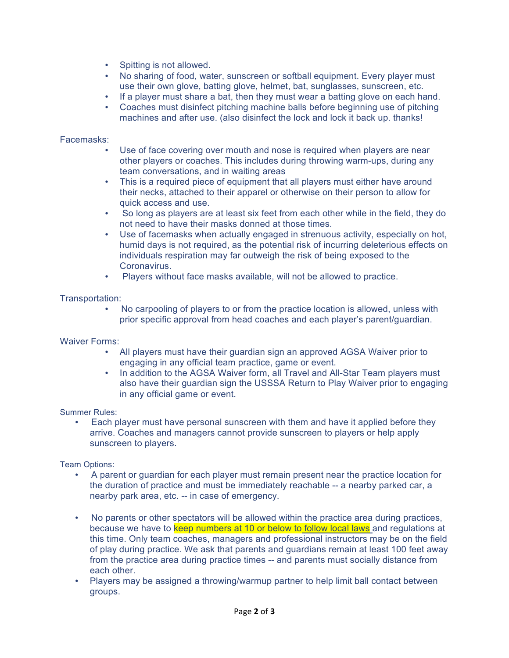- Spitting is not allowed.
- No sharing of food, water, sunscreen or softball equipment. Every player must use their own glove, batting glove, helmet, bat, sunglasses, sunscreen, etc.
- If a player must share a bat, then they must wear a batting glove on each hand.
- Coaches must disinfect pitching machine balls before beginning use of pitching machines and after use. (also disinfect the lock and lock it back up. thanks!

#### Facemasks:

- Use of face covering over mouth and nose is required when players are near other players or coaches. This includes during throwing warm-ups, during any team conversations, and in waiting areas
- This is a required piece of equipment that all players must either have around their necks, attached to their apparel or otherwise on their person to allow for quick access and use.
- So long as players are at least six feet from each other while in the field, they do not need to have their masks donned at those times.
- Use of facemasks when actually engaged in strenuous activity, especially on hot, humid days is not required, as the potential risk of incurring deleterious effects on individuals respiration may far outweigh the risk of being exposed to the Coronavirus.
- Players without face masks available, will not be allowed to practice.

## Transportation:

• No carpooling of players to or from the practice location is allowed, unless with prior specific approval from head coaches and each player's parent/guardian.

Waiver Forms:

- All players must have their guardian sign an approved AGSA Waiver prior to engaging in any official team practice, game or event.
- In addition to the AGSA Waiver form, all Travel and All-Star Team players must also have their guardian sign the USSSA Return to Play Waiver prior to engaging in any official game or event.

Summer Rules:

• Each player must have personal sunscreen with them and have it applied before they arrive. Coaches and managers cannot provide sunscreen to players or help apply sunscreen to players.

Team Options:

- A parent or guardian for each player must remain present near the practice location for the duration of practice and must be immediately reachable -- a nearby parked car, a nearby park area, etc. -- in case of emergency.
- No parents or other spectators will be allowed within the practice area during practices, because we have to keep numbers at 10 or below to follow local laws and regulations at this time. Only team coaches, managers and professional instructors may be on the field of play during practice. We ask that parents and guardians remain at least 100 feet away from the practice area during practice times -- and parents must socially distance from each other.
- Players may be assigned a throwing/warmup partner to help limit ball contact between groups.